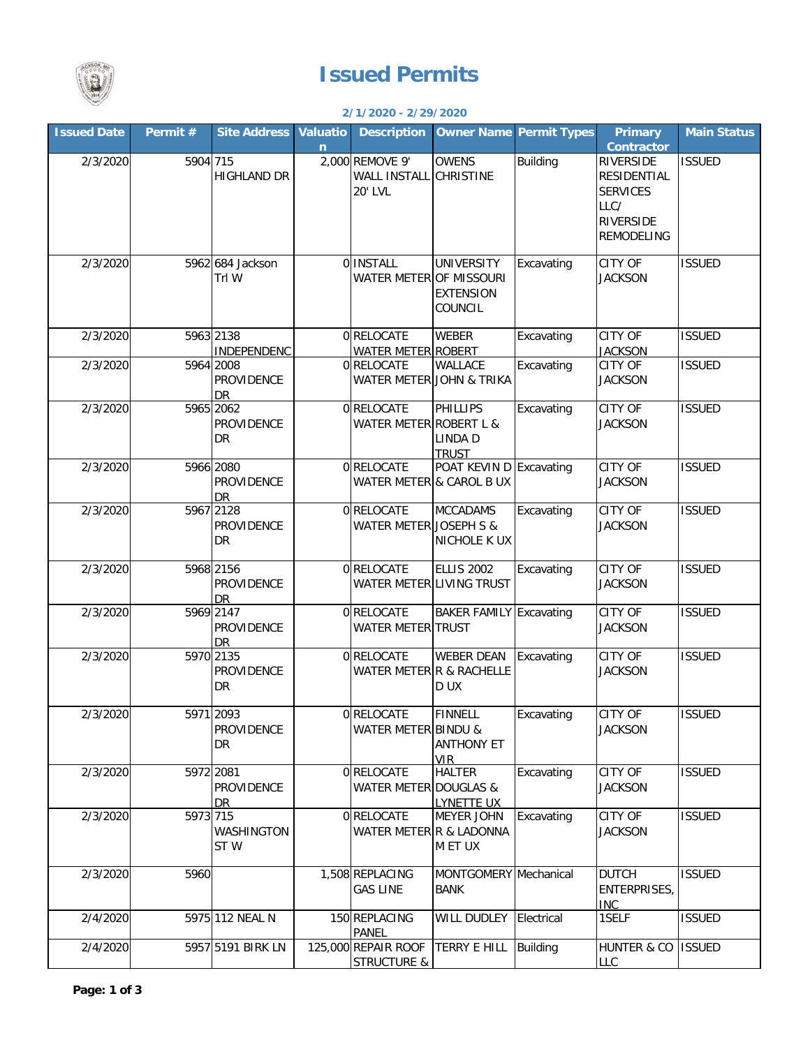

## **Issued Permits**

## **2/1/2020 - 2/29/2020**

| <b>Issued Date</b> | Permit#  | <b>Site Address</b>                         | <b>Valuatio</b> | <b>Description</b>                                       |                                                  | <b>Owner Name Permit Types</b> | <b>Primary</b>                                                                                      | <b>Main Status</b> |
|--------------------|----------|---------------------------------------------|-----------------|----------------------------------------------------------|--------------------------------------------------|--------------------------------|-----------------------------------------------------------------------------------------------------|--------------------|
|                    |          |                                             | n               |                                                          |                                                  |                                | Contractor                                                                                          |                    |
| 2/3/2020           | 5904 715 | <b>HIGHLAND DR</b>                          |                 | 2,000 REMOVE 9'<br><b>WALL INSTALL</b><br><b>20' LVL</b> | <b>OWENS</b><br><b>CHRISTINE</b>                 | <b>Building</b>                | <b>RIVERSIDE</b><br>RESIDENTIAL<br><b>SERVICES</b><br>LLC/<br><b>RIVERSIDE</b><br><b>REMODELING</b> | <b>ISSUED</b>      |
| 2/3/2020           |          | 5962 684 Jackson<br>Trl W                   |                 | 0 INSTALL<br><b>WATER METER OF MISSOURI</b>              | <b>UNIVERSITY</b><br><b>EXTENSION</b><br>COUNCIL | Excavating                     | <b>CITY OF</b><br><b>JACKSON</b>                                                                    | <b>ISSUED</b>      |
| 2/3/2020           |          | 5963 2138<br><b>INDEPENDENC</b>             |                 | 0RELOCATE<br><b>WATER METER ROBERT</b>                   | <b>WEBER</b>                                     | Excavating                     | <b>CITY OF</b><br><b>JACKSON</b>                                                                    | <b>ISSUED</b>      |
| 2/3/2020           |          | 5964 2008<br>PROVIDENCE<br>DR               |                 | 0 RELOCATE<br>WATER METER JOHN & TRIKA                   | <b>WALLACE</b>                                   | Excavating                     | CITY OF<br><b>JACKSON</b>                                                                           | <b>ISSUED</b>      |
| 2/3/2020           |          | 5965 2062<br>PROVIDENCE<br>DR               |                 | 0RELOCATE<br>WATER METER ROBERT L &                      | PHILLIPS<br><b>LINDA D</b><br><b>TRUST</b>       | Excavating                     | <b>CITY OF</b><br><b>JACKSON</b>                                                                    | <b>ISSUED</b>      |
| 2/3/2020           |          | 5966 2080<br><b>PROVIDENCE</b><br><b>DR</b> |                 | 0 RELOCATE<br>WATER METER & CAROL B UX                   | POAT KEVIN D Excavating                          |                                | <b>CITY OF</b><br><b>JACKSON</b>                                                                    | <b>ISSUED</b>      |
| 2/3/2020           |          | 5967 2128<br><b>PROVIDENCE</b><br><b>DR</b> |                 | 0RELOCATE<br>WATER METER JOSEPH S &                      | <b>MCCADAMS</b><br>NICHOLE K UX                  | Excavating                     | <b>CITY OF</b><br><b>JACKSON</b>                                                                    | <b>ISSUED</b>      |
| 2/3/2020           |          | 5968 2156<br><b>PROVIDENCE</b><br>DR        |                 | 0RELOCATE<br>WATER METER LIVING TRUST                    | ELLIS <sub>2002</sub>                            | Excavating                     | <b>CITY OF</b><br><b>JACKSON</b>                                                                    | <b>ISSUED</b>      |
| 2/3/2020           |          | 5969 2147<br>PROVIDENCE<br><b>DR</b>        |                 | 0RELOCATE<br><b>WATER METER TRUST</b>                    | <b>BAKER FAMILY Excavating</b>                   |                                | <b>CITY OF</b><br><b>JACKSON</b>                                                                    | <b>ISSUED</b>      |
| 2/3/2020           |          | 5970 2135<br>PROVIDENCE<br>DR               |                 | 0RELOCATE<br>WATER METER R & RACHELLE                    | <b>WEBER DEAN</b><br>D UX                        | Excavating                     | <b>CITY OF</b><br><b>JACKSON</b>                                                                    | <b>ISSUED</b>      |
| 2/3/2020           |          | 5971 2093<br><b>PROVIDENCE</b><br>DR        |                 | 0 RELOCATE<br><b>WATER METER BINDU &amp;</b>             | FINNELL<br><b>ANTHONY ET</b><br><b>VIR</b>       | Excavating                     | <b>CITY OF</b><br><b>JACKSON</b>                                                                    | <b>ISSUED</b>      |
| 2/3/2020           |          | 5972 2081<br><b>PROVIDENCE</b><br>DR.       |                 | 0 RELOCATE<br><b>WATER METER DOUGLAS &amp;</b>           | <b>HALTER</b><br><b>LYNETTE UX</b>               | Excavating                     | CITY OF<br><b>JACKSON</b>                                                                           | <b>ISSUED</b>      |
| 2/3/2020           | 5973 715 | WASHINGTON<br>STW                           |                 | 0 RELOCATE<br>WATER METER R & LADONNA                    | <b>MEYER JOHN</b><br>M ET UX                     | Excavating                     | CITY OF<br><b>JACKSON</b>                                                                           | <b>ISSUED</b>      |
| 2/3/2020           | 5960     |                                             |                 | 1,508 REPLACING<br><b>GAS LINE</b>                       | MONTGOMERY Mechanical<br><b>BANK</b>             |                                | <b>DUTCH</b><br><b>ENTERPRISES,</b><br><b>INC</b>                                                   | <b>ISSUED</b>      |
| 2/4/2020           |          | 5975 112 NEAL N                             |                 | 150 REPLACING<br>PANEL                                   | WILL DUDLEY Electrical                           |                                | 1SELF                                                                                               | <b>ISSUED</b>      |
| 2/4/2020           |          | 5957 5191 BIRK LN                           |                 | 125,000 REPAIR ROOF<br><b>STRUCTURE &amp;</b>            | <b>TERRY E HILL</b>                              | <b>Building</b>                | <b>HUNTER &amp; CO</b><br><b>LLC</b>                                                                | <b>ISSUED</b>      |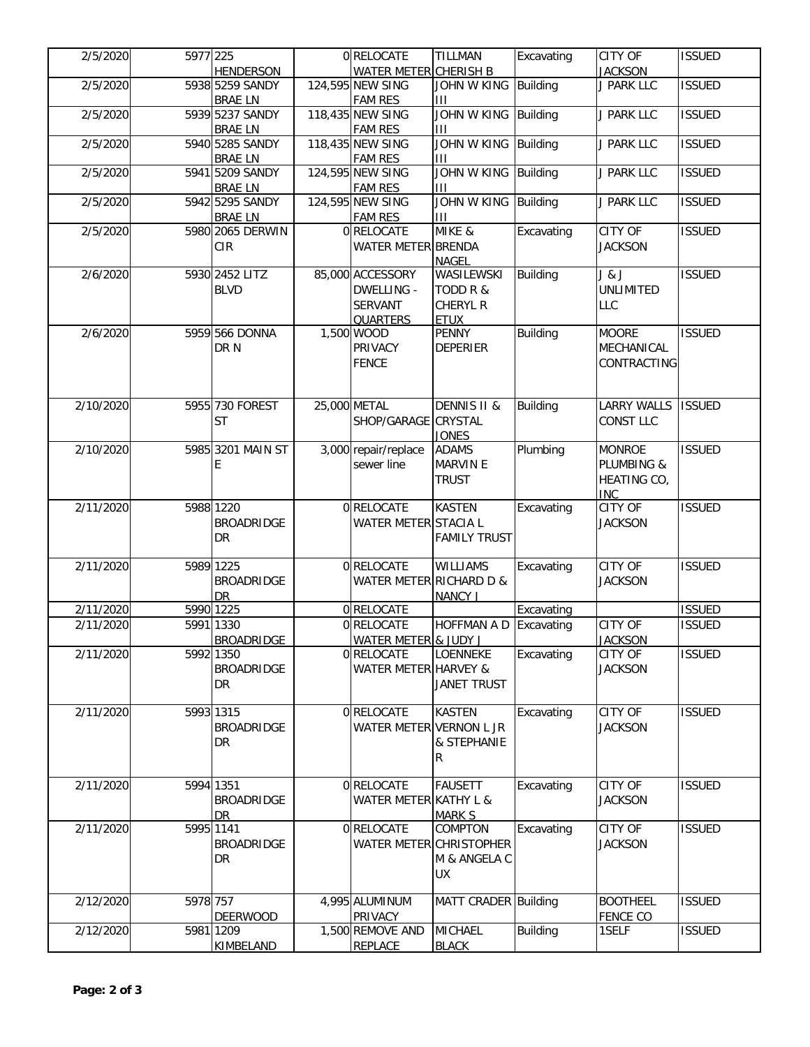| 2/5/2020  | 5977 225  |                                   | 0 RELOCATE                         | <b>TILLMAN</b>                  | Excavating      | <b>CITY OF</b>                   | <b>ISSUED</b> |
|-----------|-----------|-----------------------------------|------------------------------------|---------------------------------|-----------------|----------------------------------|---------------|
|           |           | <b>HENDERSON</b>                  | WATER METER CHERISH B              |                                 |                 | <b>JACKSON</b>                   |               |
| 2/5/2020  |           | 5938 5259 SANDY<br><b>BRAE LN</b> | 124,595 NEW SING<br><b>FAM RES</b> | JOHN W KING Building<br>Ш       |                 | J PARK LLC                       | <b>ISSUED</b> |
| 2/5/2020  |           | 5939 5237 SANDY                   | 118,435 NEW SING                   | JOHN W KING Building            |                 | J PARK LLC                       | <b>ISSUED</b> |
|           |           | <b>BRAE LN</b>                    | <b>FAM RES</b>                     | Ш                               |                 |                                  |               |
| 2/5/2020  |           | 5940 5285 SANDY                   | 118,435 NEW SING                   | <b>JOHN W KING</b>              | <b>Building</b> | J PARK LLC                       | <b>ISSUED</b> |
|           |           | <b>BRAE LN</b>                    | <b>FAM RES</b>                     | Ш                               |                 |                                  |               |
| 2/5/2020  |           | 5941 5209 SANDY                   | 124,595 NEW SING                   | JOHN W KING                     | <b>Building</b> | J PARK LLC                       | <b>ISSUED</b> |
|           |           | <b>BRAE LN</b>                    | <b>FAM RES</b>                     | Ш                               |                 |                                  |               |
| 2/5/2020  |           | 5942 5295 SANDY                   | 124,595 NEW SING                   | JOHN W KING Building            |                 | J PARK LLC                       | <b>ISSUED</b> |
|           |           | <b>BRAE LN</b>                    | <b>FAM RES</b>                     | Ш                               |                 |                                  |               |
| 2/5/2020  |           | 5980 2065 DERWIN                  | 0 RELOCATE                         | MIKE &                          | Excavating      | <b>CITY OF</b>                   | <b>ISSUED</b> |
|           |           | <b>CIR</b>                        | WATER METER BRENDA                 |                                 |                 | <b>JACKSON</b>                   |               |
| 2/6/2020  |           | 5930 2452 LITZ                    | 85,000 ACCESSORY                   | <b>NAGEL</b><br>WASILEWSKI      | <b>Building</b> | J & J                            | <b>ISSUED</b> |
|           |           | <b>BLVD</b>                       | <b>DWELLING -</b>                  | TODD R &                        |                 | <b>UNLIMITED</b>                 |               |
|           |           |                                   | <b>SERVANT</b>                     | <b>CHERYL R</b>                 |                 | <b>LLC</b>                       |               |
|           |           |                                   | <b>QUARTERS</b>                    | <b>ETUX</b>                     |                 |                                  |               |
| 2/6/2020  |           | 5959 566 DONNA                    | 1,500 WOOD                         | <b>PENNY</b>                    | <b>Building</b> | <b>MOORE</b>                     | <b>ISSUED</b> |
|           |           | DR N                              | PRIVACY                            | <b>DEPERIER</b>                 |                 | MECHANICAL                       |               |
|           |           |                                   | <b>FENCE</b>                       |                                 |                 | CONTRACTING                      |               |
|           |           |                                   |                                    |                                 |                 |                                  |               |
|           |           |                                   |                                    |                                 |                 |                                  |               |
| 2/10/2020 |           | 5955 730 FOREST                   | 25,000 METAL                       | <b>DENNIS II &amp;</b>          | <b>Building</b> | <b>LARRY WALLS</b>               | <b>ISSUED</b> |
|           |           | <b>ST</b>                         | SHOP/GARAGE CRYSTAL                |                                 |                 | <b>CONST LLC</b>                 |               |
|           |           |                                   |                                    | <b>JONES</b>                    |                 |                                  |               |
| 2/10/2020 |           | 5985 3201 MAIN ST                 | 3,000 repair/replace               | <b>ADAMS</b><br><b>MARVIN E</b> | Plumbing        | <b>MONROE</b><br>PLUMBING &      | <b>ISSUED</b> |
|           |           | E                                 | sewer line                         | <b>TRUST</b>                    |                 |                                  |               |
|           |           |                                   |                                    |                                 |                 | HEATING CO,<br><b>INC</b>        |               |
| 2/11/2020 |           | 5988 1220                         | 0 RELOCATE                         | <b>KASTEN</b>                   | Excavating      | <b>CITY OF</b>                   | <b>ISSUED</b> |
|           |           | <b>BROADRIDGE</b>                 | WATER METER STACIA L               |                                 |                 | <b>JACKSON</b>                   |               |
|           |           | <b>DR</b>                         |                                    | <b>FAMILY TRUST</b>             |                 |                                  |               |
|           |           |                                   |                                    |                                 |                 |                                  |               |
| 2/11/2020 |           | 5989 1225                         | 0 RELOCATE                         | <b>WILLIAMS</b>                 | Excavating      | <b>CITY OF</b>                   | <b>ISSUED</b> |
|           |           | <b>BROADRIDGE</b>                 | WATER METER RICHARD D &            |                                 |                 | <b>JACKSON</b>                   |               |
|           |           | <b>DR</b>                         |                                    | <b>NANCY J</b>                  |                 |                                  |               |
| 2/11/2020 |           | 5990 1225                         | 0 RELOCATE                         |                                 | Excavating      |                                  | <b>ISSUED</b> |
| 2/11/2020 |           | 5991 1330                         | 0 RELOCATE                         | HOFFMAN A D Excavating          |                 | <b>CITY OF</b>                   | <b>ISSUED</b> |
| 2/11/2020 |           | <b>BROADRIDGE</b><br>5992 1350    | WATER METER & JUDY J<br>0 RELOCATE | <b>LOENNEKE</b>                 | Excavating      | <b>JACKSON</b><br><b>CITY OF</b> | <b>ISSUED</b> |
|           |           | <b>BROADRIDGE</b>                 | <b>WATER METER HARVEY &amp;</b>    |                                 |                 | <b>JACKSON</b>                   |               |
|           |           | <b>DR</b>                         |                                    | <b>JANET TRUST</b>              |                 |                                  |               |
|           |           |                                   |                                    |                                 |                 |                                  |               |
| 2/11/2020 |           | 5993 1315                         | 0 RELOCATE                         | <b>KASTEN</b>                   | Excavating      | CITY OF                          | <b>ISSUED</b> |
|           |           | <b>BROADRIDGE</b>                 | WATER METER VERNON L JR            |                                 |                 | <b>JACKSON</b>                   |               |
|           |           | DR                                |                                    | & STEPHANIE                     |                 |                                  |               |
|           |           |                                   |                                    | R                               |                 |                                  |               |
|           |           |                                   |                                    |                                 |                 |                                  |               |
| 2/11/2020 |           | 5994 1351                         | 0 RELOCATE                         | <b>FAUSETT</b>                  | Excavating      | <b>CITY OF</b>                   | <b>ISSUED</b> |
|           |           | <b>BROADRIDGE</b>                 | WATER METER KATHY L &              |                                 |                 | <b>JACKSON</b>                   |               |
| 2/11/2020 |           | DR<br>5995 1141                   | 0 RELOCATE                         | <b>MARK S</b><br>COMPTON        | Excavating      | CITY OF                          | <b>ISSUED</b> |
|           |           | <b>BROADRIDGE</b>                 | WATER METER CHRISTOPHER            |                                 |                 | <b>JACKSON</b>                   |               |
|           |           | <b>DR</b>                         |                                    | M & ANGELA C                    |                 |                                  |               |
|           |           |                                   |                                    | UX.                             |                 |                                  |               |
|           |           |                                   |                                    |                                 |                 |                                  |               |
| 2/12/2020 | 5978 757  |                                   | 4,995 ALUMINUM                     | MATT CRADER Building            |                 | <b>BOOTHEEL</b>                  | <b>ISSUED</b> |
|           |           | <b>DEERWOOD</b>                   | PRIVACY                            |                                 |                 | <b>FENCE CO</b>                  |               |
| 2/12/2020 |           |                                   | 1,500 REMOVE AND                   |                                 |                 |                                  |               |
|           | 5981 1209 |                                   |                                    | <b>MICHAEL</b>                  | Building        | 1SELF                            | <b>ISSUED</b> |